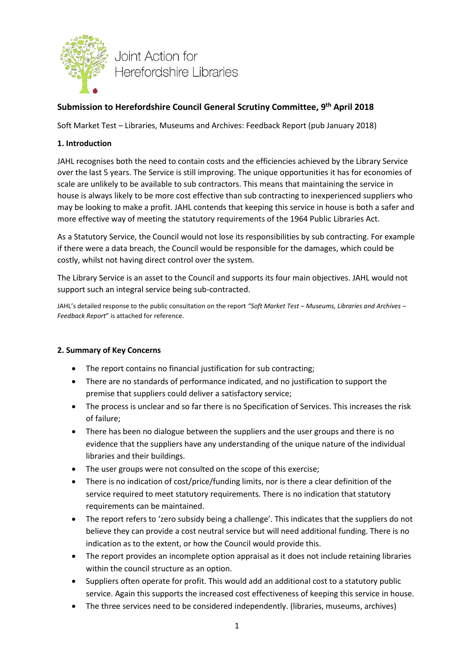

Joint Action for Herefordshire Libraries

# **Submission to Herefordshire Council General Scrutiny Committee, 9 th April 2018**

Soft Market Test – Libraries, Museums and Archives: Feedback Report (pub January 2018)

#### **1. Introduction**

JAHL recognises both the need to contain costs and the efficiencies achieved by the Library Service over the last 5 years. The Service is still improving. The unique opportunities it has for economies of scale are unlikely to be available to sub contractors. This means that maintaining the service in house is always likely to be more cost effective than sub contracting to inexperienced suppliers who may be looking to make a profit. JAHL contends that keeping this service in house is both a safer and more effective way of meeting the statutory requirements of the 1964 Public Libraries Act.

As a Statutory Service, the Council would not lose its responsibilities by sub contracting. For example if there were a data breach, the Council would be responsible for the damages, which could be costly, whilst not having direct control over the system.

The Library Service is an asset to the Council and supports its four main objectives. JAHL would not support such an integral service being sub-contracted.

JAHL's detailed response to the public consultation on the report *"Soft Market Test – Museums, Libraries and Archives – Feedback Report*" is attached for reference.

#### **2. Summary of Key Concerns**

- The report contains no financial justification for sub contracting;
- There are no standards of performance indicated, and no justification to support the premise that suppliers could deliver a satisfactory service;
- The process is unclear and so far there is no Specification of Services. This increases the risk of failure;
- There has been no dialogue between the suppliers and the user groups and there is no evidence that the suppliers have any understanding of the unique nature of the individual libraries and their buildings.
- The user groups were not consulted on the scope of this exercise;
- There is no indication of cost/price/funding limits, nor is there a clear definition of the service required to meet statutory requirements. There is no indication that statutory requirements can be maintained.
- The report refers to 'zero subsidy being a challenge'. This indicates that the suppliers do not believe they can provide a cost neutral service but will need additional funding. There is no indication as to the extent, or how the Council would provide this.
- The report provides an incomplete option appraisal as it does not include retaining libraries within the council structure as an option.
- Suppliers often operate for profit. This would add an additional cost to a statutory public service. Again this supports the increased cost effectiveness of keeping this service in house.
- The three services need to be considered independently. (libraries, museums, archives)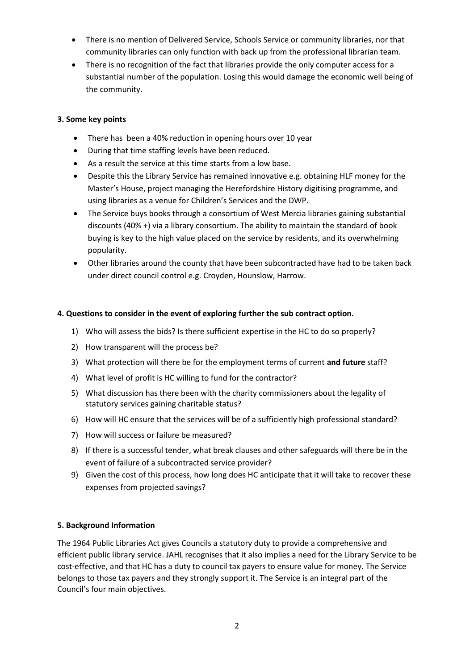- There is no mention of Delivered Service, Schools Service or community libraries, nor that community libraries can only function with back up from the professional librarian team.
- There is no recognition of the fact that libraries provide the only computer access for a substantial number of the population. Losing this would damage the economic well being of the community.

## **3. Some key points**

- There has been a 40% reduction in opening hours over 10 year
- During that time staffing levels have been reduced.
- As a result the service at this time starts from a low base.
- Despite this the Library Service has remained innovative e.g. obtaining HLF money for the Master's House, project managing the Herefordshire History digitising programme, and using libraries as a venue for Children's Services and the DWP.
- The Service buys books through a consortium of West Mercia libraries gaining substantial discounts (40% +) via a library consortium. The ability to maintain the standard of book buying is key to the high value placed on the service by residents, and its overwhelming popularity.
- Other libraries around the county that have been subcontracted have had to be taken back under direct council control e.g. Croyden, Hounslow, Harrow.

## **4. Questions to consider in the event of exploring further the sub contract option.**

- 1) Who will assess the bids? Is there sufficient expertise in the HC to do so properly?
- 2) How transparent will the process be?
- 3) What protection will there be for the employment terms of current **and future** staff?
- 4) What level of profit is HC willing to fund for the contractor?
- 5) What discussion has there been with the charity commissioners about the legality of statutory services gaining charitable status?
- 6) How will HC ensure that the services will be of a sufficiently high professional standard?
- 7) How will success or failure be measured?
- 8) If there is a successful tender, what break clauses and other safeguards will there be in the event of failure of a subcontracted service provider?
- 9) Given the cost of this process, how long does HC anticipate that it will take to recover these expenses from projected savings?

## **5. Background Information**

The 1964 Public Libraries Act gives Councils a statutory duty to provide a comprehensive and efficient public library service. JAHL recognises that it also implies a need for the Library Service to be cost-effective, and that HC has a duty to council tax payers to ensure value for money. The Service belongs to those tax payers and they strongly support it. The Service is an integral part of the Council's four main objectives.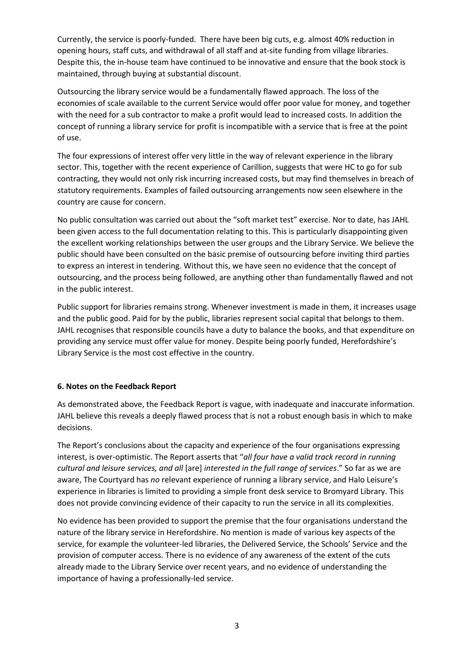Currently, the service is poorly-funded. There have been big cuts, e.g. almost 40% reduction in opening hours, staff cuts, and withdrawal of all staff and at-site funding from village libraries. Despite this, the in-house team have continued to be innovative and ensure that the book stock is maintained, through buying at substantial discount.

Outsourcing the library service would be a fundamentally flawed approach. The loss of the economies of scale available to the current Service would offer poor value for money, and together with the need for a sub contractor to make a profit would lead to increased costs. In addition the concept of running a library service for profit is incompatible with a service that is free at the point of use.

The four expressions of interest offer very little in the way of relevant experience in the library sector. This, together with the recent experience of Carillion, suggests that were HC to go for sub contracting, they would not only risk incurring increased costs, but may find themselves in breach of statutory requirements. Examples of failed outsourcing arrangements now seen elsewhere in the country are cause for concern.

No public consultation was carried out about the "soft market test" exercise. Nor to date, has JAHL been given access to the full documentation relating to this. This is particularly disappointing given the excellent working relationships between the user groups and the Library Service. We believe the public should have been consulted on the basic premise of outsourcing before inviting third parties to express an interest in tendering. Without this, we have seen no evidence that the concept of outsourcing, and the process being followed, are anything other than fundamentally flawed and not in the public interest.

Public support for libraries remains strong. Whenever investment is made in them, it increases usage and the public good. Paid for by the public, libraries represent social capital that belongs to them. JAHL recognises that responsible councils have a duty to balance the books, and that expenditure on providing any service must offer value for money. Despite being poorly funded, Herefordshire's Library Service is the most cost effective in the country.

#### **6. Notes on the Feedback Report**

As demonstrated above, the Feedback Report is vague, with inadequate and inaccurate information. JAHL believe this reveals a deeply flawed process that is not a robust enough basis in which to make decisions.

The Report's conclusions about the capacity and experience of the four organisations expressing interest, is over-optimistic. The Report asserts that "*all four have a valid track record in running cultural and leisure services, and all* [are] *interested in the full range of services*." So far as we are aware, The Courtyard has *no* relevant experience of running a library service, and Halo Leisure's experience in libraries is limited to providing a simple front desk service to Bromyard Library. This does not provide convincing evidence of their capacity to run the service in all its complexities.

No evidence has been provided to support the premise that the four organisations understand the nature of the library service in Herefordshire. No mention is made of various key aspects of the service, for example the volunteer-led libraries, the Delivered Service, the Schools' Service and the provision of computer access. There is no evidence of any awareness of the extent of the cuts already made to the Library Service over recent years, and no evidence of understanding the importance of having a professionally-led service.